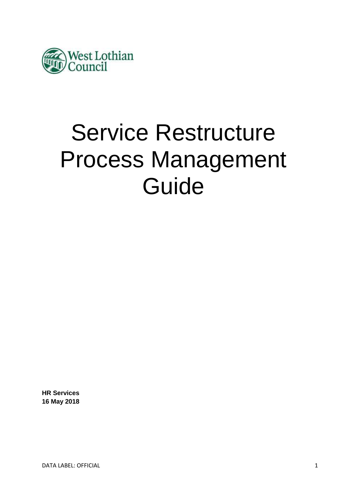

# Service Restructure Process Management Guide

**HR Services 16 May 2018**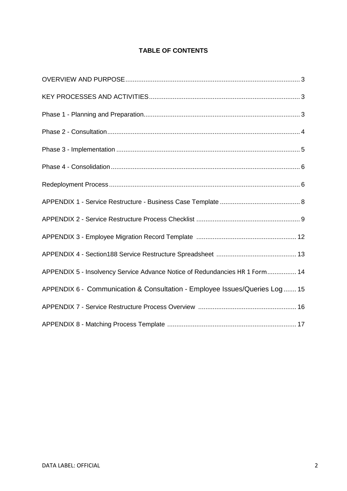## **TABLE OF CONTENTS**

<span id="page-1-0"></span>

| APPENDIX 5 - Insolvency Service Advance Notice of Redundancies HR 1 Form 14 |
|-----------------------------------------------------------------------------|
| APPENDIX 6 - Communication & Consultation - Employee Issues/Queries Log  15 |
|                                                                             |
|                                                                             |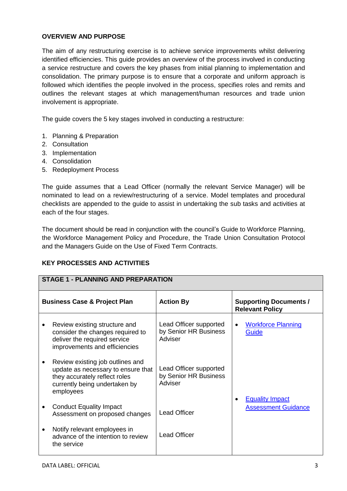### **OVERVIEW AND PURPOSE**

The aim of any restructuring exercise is to achieve service improvements whilst delivering identified efficiencies. This guide provides an overview of the process involved in conducting a service restructure and covers the key phases from initial planning to implementation and consolidation. The primary purpose is to ensure that a corporate and uniform approach is followed which identifies the people involved in the process, specifies roles and remits and outlines the relevant stages at which management/human resources and trade union involvement is appropriate.

The guide covers the 5 key stages involved in conducting a restructure:

- 1. Planning & Preparation
- 2. Consultation
- 3. Implementation
- 4. Consolidation
- 5. Redeployment Process

The guide assumes that a Lead Officer (normally the relevant Service Manager) will be nominated to lead on a review/restructuring of a service. Model templates and procedural checklists are appended to the guide to assist in undertaking the sub tasks and activities at each of the four stages.

The document should be read in conjunction with the council's Guide to Workforce Planning, the Workforce Management Policy and Procedure, the Trade Union Consultation Protocol and the Managers Guide on the Use of Fixed Term Contracts.

### **KEY PROCESSES AND ACTIVITIES**

| <b>STAGE 1 - PLANNING AND PREPARATION</b> |                                                                                                                                                       |                                                            |                                                         |
|-------------------------------------------|-------------------------------------------------------------------------------------------------------------------------------------------------------|------------------------------------------------------------|---------------------------------------------------------|
| <b>Business Case &amp; Project Plan</b>   |                                                                                                                                                       | <b>Action By</b>                                           | <b>Supporting Documents /</b><br><b>Relevant Policy</b> |
|                                           | Review existing structure and<br>consider the changes required to<br>deliver the required service<br>improvements and efficiencies                    | Lead Officer supported<br>by Senior HR Business<br>Adviser | <b>Workforce Planning</b><br>Guide                      |
|                                           | Review existing job outlines and<br>update as necessary to ensure that<br>they accurately reflect roles<br>currently being undertaken by<br>employees | Lead Officer supported<br>by Senior HR Business<br>Adviser | <b>Equality Impact</b>                                  |
|                                           | <b>Conduct Equality Impact</b><br>Assessment on proposed changes                                                                                      | <b>Lead Officer</b>                                        | <b>Assessment Guidance</b>                              |
| ٠                                         | Notify relevant employees in<br>advance of the intention to review<br>the service                                                                     | <b>Lead Officer</b>                                        |                                                         |
|                                           |                                                                                                                                                       |                                                            |                                                         |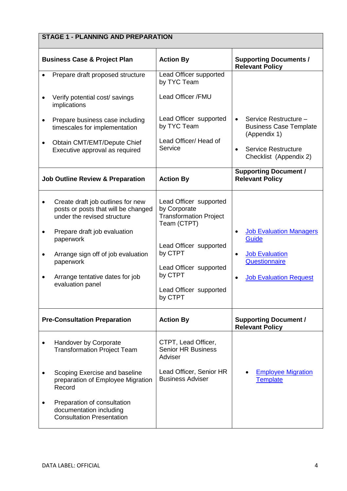# **STAGE 1 - PLANNING AND PREPARATION**

| <b>Business Case &amp; Project Plan</b>                                                                                                 | <b>Action By</b>                                                                                            | <b>Supporting Documents /</b><br><b>Relevant Policy</b>                             |
|-----------------------------------------------------------------------------------------------------------------------------------------|-------------------------------------------------------------------------------------------------------------|-------------------------------------------------------------------------------------|
| Prepare draft proposed structure                                                                                                        | Lead Officer supported<br>by TYC Team                                                                       |                                                                                     |
| Verify potential cost/ savings<br>implications                                                                                          | Lead Officer /FMU                                                                                           |                                                                                     |
| Prepare business case including<br>timescales for implementation                                                                        | Lead Officer supported<br>by TYC Team                                                                       | Service Restructure -<br><b>Business Case Template</b><br>(Appendix 1)              |
| Obtain CMT/EMT/Depute Chief<br>Executive approval as required                                                                           | Lead Officer/ Head of<br>Service                                                                            | <b>Service Restructure</b><br>$\bullet$<br>Checklist (Appendix 2)                   |
| <b>Job Outline Review &amp; Preparation</b>                                                                                             | <b>Action By</b>                                                                                            | <b>Supporting Document /</b><br><b>Relevant Policy</b>                              |
| Create draft job outlines for new<br>posts or posts that will be changed<br>under the revised structure<br>Prepare draft job evaluation | Lead Officer supported<br>by Corporate<br><b>Transformation Project</b><br>Team (CTPT)                      | <b>Job Evaluation Managers</b><br>Guide                                             |
| paperwork<br>Arrange sign off of job evaluation<br>paperwork<br>Arrange tentative dates for job<br>evaluation panel                     | Lead Officer supported<br>by CTPT<br>Lead Officer supported<br>by CTPT<br>Lead Officer supported<br>by CTPT | <b>Job Evaluation</b><br>٠<br><b>Questionnaire</b><br><b>Job Evaluation Request</b> |
| <b>Pre-Consultation Preparation</b>                                                                                                     | <b>Action By</b>                                                                                            | <b>Supporting Document /</b><br><b>Relevant Policy</b>                              |
| Handover by Corporate<br><b>Transformation Project Team</b>                                                                             | CTPT, Lead Officer,<br><b>Senior HR Business</b><br>Adviser                                                 |                                                                                     |
| Scoping Exercise and baseline<br>preparation of Employee Migration<br>Record                                                            | Lead Officer, Senior HR<br><b>Business Adviser</b>                                                          | <b>Employee Migration</b><br><b>Template</b>                                        |
| Preparation of consultation<br>documentation including<br><b>Consultation Presentation</b>                                              |                                                                                                             |                                                                                     |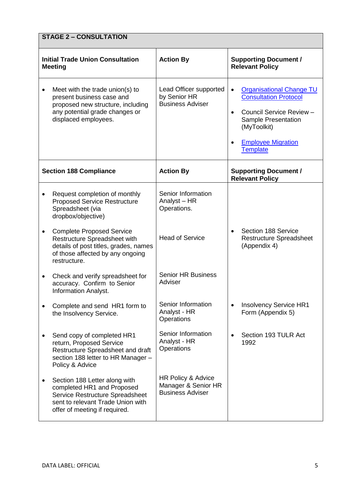|           | <b>STAGE 2 - CONSULTATION</b>                                                                                                                                        |                                                                      |                                                                                                                                                                                                             |  |
|-----------|----------------------------------------------------------------------------------------------------------------------------------------------------------------------|----------------------------------------------------------------------|-------------------------------------------------------------------------------------------------------------------------------------------------------------------------------------------------------------|--|
|           | <b>Initial Trade Union Consultation</b><br><b>Meeting</b>                                                                                                            | <b>Action By</b>                                                     | <b>Supporting Document /</b><br><b>Relevant Policy</b>                                                                                                                                                      |  |
| ٠         | Meet with the trade union(s) to<br>present business case and<br>proposed new structure, including<br>any potential grade changes or<br>displaced employees.          | Lead Officer supported<br>by Senior HR<br><b>Business Adviser</b>    | <b>Organisational Change TU</b><br>$\bullet$<br><b>Consultation Protocol</b><br>Council Service Review -<br>$\bullet$<br>Sample Presentation<br>(MyToolkit)<br><b>Employee Migration</b><br><b>Template</b> |  |
|           | <b>Section 188 Compliance</b>                                                                                                                                        | <b>Action By</b>                                                     | <b>Supporting Document /</b><br><b>Relevant Policy</b>                                                                                                                                                      |  |
|           | Request completion of monthly<br><b>Proposed Service Restructure</b><br>Spreadsheet (via<br>dropbox/objective)                                                       | Senior Information<br>Analyst - HR<br>Operations.                    |                                                                                                                                                                                                             |  |
| ٠         | <b>Complete Proposed Service</b><br>Restructure Spreadsheet with<br>details of post titles, grades, names<br>of those affected by any ongoing<br>restructure.        | <b>Head of Service</b>                                               | Section 188 Service<br><b>Restructure Spreadsheet</b><br>(Appendix 4)                                                                                                                                       |  |
| $\bullet$ | Check and verify spreadsheet for<br>accuracy. Confirm to Senior<br><b>Information Analyst.</b>                                                                       | <b>Senior HR Business</b><br>Adviser                                 |                                                                                                                                                                                                             |  |
|           | Complete and send HR1 form to<br>the Insolvency Service.                                                                                                             | Senior Information<br>Analyst - HR<br>Operations                     | <b>Insolvency Service HR1</b><br>Form (Appendix 5)                                                                                                                                                          |  |
|           | Send copy of completed HR1<br>return, Proposed Service<br>Restructure Spreadsheet and draft<br>section 188 letter to HR Manager -<br>Policy & Advice                 | Senior Information<br>Analyst - HR<br>Operations                     | Section 193 TULR Act<br>1992                                                                                                                                                                                |  |
|           | Section 188 Letter along with<br>completed HR1 and Proposed<br>Service Restructure Spreadsheet<br>sent to relevant Trade Union with<br>offer of meeting if required. | HR Policy & Advice<br>Manager & Senior HR<br><b>Business Adviser</b> |                                                                                                                                                                                                             |  |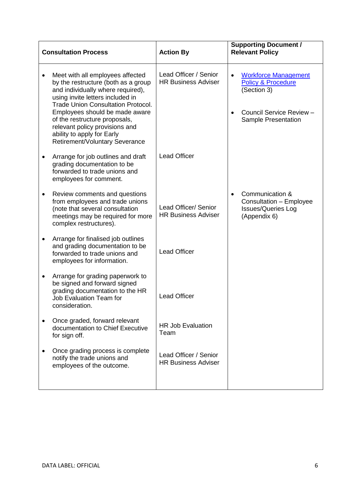| <b>Consultation Process</b> |                                                                                                                                                                                                                                                                                                                                                                    | <b>Action By</b>                                    | <b>Supporting Document /</b><br><b>Relevant Policy</b>                                                                                |
|-----------------------------|--------------------------------------------------------------------------------------------------------------------------------------------------------------------------------------------------------------------------------------------------------------------------------------------------------------------------------------------------------------------|-----------------------------------------------------|---------------------------------------------------------------------------------------------------------------------------------------|
|                             | Meet with all employees affected<br>by the restructure (both as a group<br>and individually where required),<br>using invite letters included in<br><b>Trade Union Consultation Protocol.</b><br>Employees should be made aware<br>of the restructure proposals,<br>relevant policy provisions and<br>ability to apply for Early<br>Retirement/Voluntary Severance | Lead Officer / Senior<br><b>HR Business Adviser</b> | <b>Workforce Management</b><br><b>Policy &amp; Procedure</b><br>(Section 3)<br>Council Service Review -<br><b>Sample Presentation</b> |
|                             | Arrange for job outlines and draft<br>grading documentation to be<br>forwarded to trade unions and<br>employees for comment.                                                                                                                                                                                                                                       | <b>Lead Officer</b>                                 |                                                                                                                                       |
|                             | Review comments and questions<br>from employees and trade unions<br>(note that several consultation<br>meetings may be required for more<br>complex restructures).                                                                                                                                                                                                 | Lead Officer/ Senior<br><b>HR Business Adviser</b>  | Communication &<br>$\bullet$<br>Consultation - Employee<br><b>Issues/Queries Log</b><br>(Appendix 6)                                  |
|                             | Arrange for finalised job outlines<br>and grading documentation to be<br>forwarded to trade unions and<br>employees for information.                                                                                                                                                                                                                               | <b>Lead Officer</b>                                 |                                                                                                                                       |
|                             | Arrange for grading paperwork to<br>be signed and forward signed<br>grading documentation to the HR<br><b>Job Evaluation Team for</b><br>consideration.                                                                                                                                                                                                            | <b>Lead Officer</b>                                 |                                                                                                                                       |
|                             | Once graded, forward relevant<br>documentation to Chief Executive<br>for sign off.                                                                                                                                                                                                                                                                                 | <b>HR Job Evaluation</b><br>Team                    |                                                                                                                                       |
|                             | Once grading process is complete<br>notify the trade unions and<br>employees of the outcome.                                                                                                                                                                                                                                                                       | Lead Officer / Senior<br><b>HR Business Adviser</b> |                                                                                                                                       |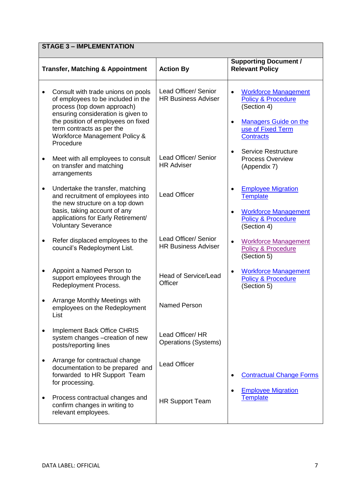|           | <b>STAGE 3 - IMPLEMENTATION</b>                                                                                                                                                                                                                                |                                                    |                                                                                                                                                                                |  |
|-----------|----------------------------------------------------------------------------------------------------------------------------------------------------------------------------------------------------------------------------------------------------------------|----------------------------------------------------|--------------------------------------------------------------------------------------------------------------------------------------------------------------------------------|--|
|           | <b>Transfer, Matching &amp; Appointment</b>                                                                                                                                                                                                                    | <b>Action By</b>                                   | <b>Supporting Document /</b><br><b>Relevant Policy</b>                                                                                                                         |  |
|           | Consult with trade unions on pools<br>of employees to be included in the<br>process (top down approach)<br>ensuring consideration is given to<br>the position of employees on fixed<br>term contracts as per the<br>Workforce Management Policy &<br>Procedure | Lead Officer/ Senior<br><b>HR Business Adviser</b> | <b>Workforce Management</b><br>$\bullet$<br><b>Policy &amp; Procedure</b><br>(Section 4)<br><b>Managers Guide on the</b><br>$\bullet$<br>use of Fixed Term<br><b>Contracts</b> |  |
|           | Meet with all employees to consult<br>on transfer and matching<br>arrangements                                                                                                                                                                                 | Lead Officer/ Senior<br><b>HR Adviser</b>          | <b>Service Restructure</b><br><b>Process Overview</b><br>(Appendix 7)                                                                                                          |  |
| $\bullet$ | Undertake the transfer, matching<br>and recruitment of employees into<br>the new structure on a top down<br>basis, taking account of any<br>applications for Early Retirement/<br><b>Voluntary Severance</b>                                                   | <b>Lead Officer</b>                                | <b>Employee Migration</b><br><b>Template</b><br><b>Workforce Management</b><br><b>Policy &amp; Procedure</b><br>(Section 4)                                                    |  |
|           | Refer displaced employees to the<br>council's Redeployment List.                                                                                                                                                                                               | Lead Officer/ Senior<br><b>HR Business Adviser</b> | <b>Workforce Management</b><br><b>Policy &amp; Procedure</b><br>(Section 5)                                                                                                    |  |
|           | Appoint a Named Person to<br>support employees through the<br>Redeployment Process.                                                                                                                                                                            | Head of Service/Lead<br>Officer                    | <b>Workforce Management</b><br><b>Policy &amp; Procedure</b><br>(Section 5)                                                                                                    |  |
|           | <b>Arrange Monthly Meetings with</b><br>employees on the Redeployment<br>List                                                                                                                                                                                  | <b>Named Person</b>                                |                                                                                                                                                                                |  |
|           | <b>Implement Back Office CHRIS</b><br>system changes -creation of new<br>posts/reporting lines                                                                                                                                                                 | Lead Officer/ HR<br><b>Operations (Systems)</b>    |                                                                                                                                                                                |  |
|           | Arrange for contractual change<br>documentation to be prepared and<br>forwarded to HR Support Team<br>for processing.                                                                                                                                          | <b>Lead Officer</b>                                | <b>Contractual Change Forms</b>                                                                                                                                                |  |
|           | Process contractual changes and<br>confirm changes in writing to<br>relevant employees.                                                                                                                                                                        | <b>HR Support Team</b>                             | <b>Employee Migration</b><br><b>Template</b>                                                                                                                                   |  |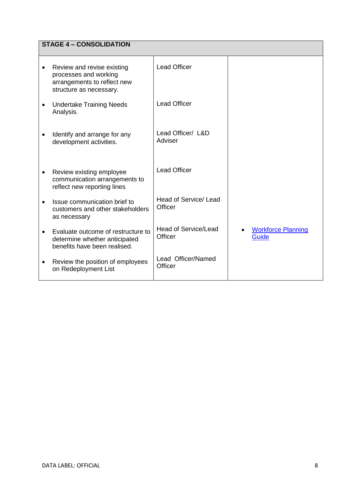|           | <b>STAGE 4 - CONSOLIDATION</b>                                                                                |                                        |                                           |  |
|-----------|---------------------------------------------------------------------------------------------------------------|----------------------------------------|-------------------------------------------|--|
|           | Review and revise existing<br>processes and working<br>arrangements to reflect new<br>structure as necessary. | <b>Lead Officer</b>                    |                                           |  |
|           | <b>Undertake Training Needs</b><br>Analysis.                                                                  | <b>Lead Officer</b>                    |                                           |  |
|           | Identify and arrange for any<br>development activities.                                                       | Lead Officer/ L&D<br>Adviser           |                                           |  |
| $\bullet$ | Review existing employee<br>communication arrangements to<br>reflect new reporting lines                      | <b>Lead Officer</b>                    |                                           |  |
|           | Issue communication brief to<br>customers and other stakeholders<br>as necessary                              | Head of Service/Lead<br>Officer        |                                           |  |
|           | Evaluate outcome of restructure to<br>determine whether anticipated<br>benefits have been realised.           | <b>Head of Service/Lead</b><br>Officer | <b>Workforce Planning</b><br><b>Guide</b> |  |
|           | Review the position of employees<br>on Redeployment List                                                      | Lead Officer/Named<br>Officer          |                                           |  |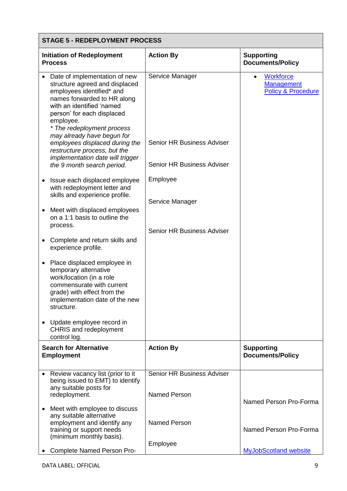|           | <b>STAGE 5 - REDEPLOYMENT PROCESS</b>                                                                                                                                                                                                                                                                                                                                                               |                                                                                           |                                                                                     |  |
|-----------|-----------------------------------------------------------------------------------------------------------------------------------------------------------------------------------------------------------------------------------------------------------------------------------------------------------------------------------------------------------------------------------------------------|-------------------------------------------------------------------------------------------|-------------------------------------------------------------------------------------|--|
|           | <b>Initiation of Redeployment</b><br><b>Process</b>                                                                                                                                                                                                                                                                                                                                                 | <b>Action By</b>                                                                          | <b>Supporting</b><br><b>Documents/Policy</b>                                        |  |
|           | Date of implementation of new<br>structure agreed and displaced<br>employees identified* and<br>names forwarded to HR along<br>with an identified 'named<br>person' for each displaced<br>employee.<br>* The redeployment process<br>may already have begun for<br>employees displaced during the<br>restructure process, but the<br>implementation date will trigger<br>the 9 month search period. | Service Manager<br><b>Senior HR Business Adviser</b><br><b>Senior HR Business Adviser</b> | <b>Workforce</b><br>$\bullet$<br><b>Management</b><br><b>Policy &amp; Procedure</b> |  |
|           | Issue each displaced employee<br>with redeployment letter and<br>skills and experience profile.                                                                                                                                                                                                                                                                                                     | Employee<br>Service Manager                                                               |                                                                                     |  |
| $\bullet$ | Meet with displaced employees<br>on a 1:1 basis to outline the<br>process.                                                                                                                                                                                                                                                                                                                          | <b>Senior HR Business Adviser</b>                                                         |                                                                                     |  |
|           | Complete and return skills and<br>experience profile.                                                                                                                                                                                                                                                                                                                                               |                                                                                           |                                                                                     |  |
|           | Place displaced employee in<br>temporary alternative<br>work/location (in a role<br>commensurate with current<br>grade) with effect from the<br>implementation date of the new<br>structure.                                                                                                                                                                                                        |                                                                                           |                                                                                     |  |
|           | Update employee record in<br><b>CHRIS</b> and redeployment<br>control log.                                                                                                                                                                                                                                                                                                                          |                                                                                           |                                                                                     |  |
|           | <b>Search for Alternative</b><br><b>Employment</b>                                                                                                                                                                                                                                                                                                                                                  | <b>Action By</b>                                                                          | <b>Supporting</b><br><b>Documents/Policy</b>                                        |  |
|           | Review vacancy list (prior to it<br>being issued to EMT) to identify<br>any suitable posts for<br>redeployment.                                                                                                                                                                                                                                                                                     | Senior HR Business Adviser<br><b>Named Person</b>                                         | Named Person Pro-Forma                                                              |  |
|           | Meet with employee to discuss<br>any suitable alternative<br>employment and identify any<br>training or support needs<br>(minimum monthly basis).                                                                                                                                                                                                                                                   | <b>Named Person</b>                                                                       | Named Person Pro-Forma                                                              |  |
|           | Complete Named Person Pro-                                                                                                                                                                                                                                                                                                                                                                          | Employee                                                                                  | <b>MyJobScotland website</b>                                                        |  |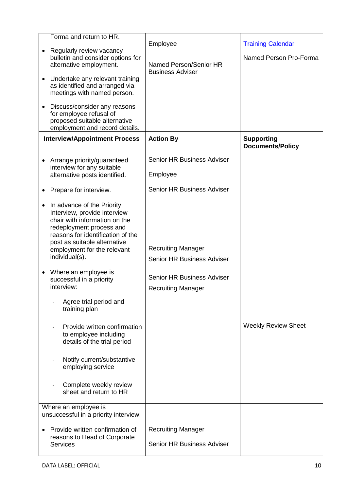| Forma and return to HR.<br>Regularly review vacancy<br>bulletin and consider options for<br>alternative employment.<br>Undertake any relevant training<br>as identified and arranged via<br>meetings with named person.<br>Discuss/consider any reasons<br>for employee refusal of<br>proposed suitable alternative | Employee<br>Named Person/Senior HR<br><b>Business Adviser</b>  | <b>Training Calendar</b><br>Named Person Pro-Forma |
|---------------------------------------------------------------------------------------------------------------------------------------------------------------------------------------------------------------------------------------------------------------------------------------------------------------------|----------------------------------------------------------------|----------------------------------------------------|
| employment and record details.<br><b>Interview/Appointment Process</b>                                                                                                                                                                                                                                              | <b>Action By</b>                                               | <b>Supporting</b><br><b>Documents/Policy</b>       |
| • Arrange priority/guaranteed<br>interview for any suitable<br>alternative posts identified.                                                                                                                                                                                                                        | <b>Senior HR Business Adviser</b><br>Employee                  |                                                    |
| Prepare for interview.                                                                                                                                                                                                                                                                                              | <b>Senior HR Business Adviser</b>                              |                                                    |
| In advance of the Priority<br>Interview, provide interview<br>chair with information on the<br>redeployment process and<br>reasons for identification of the<br>post as suitable alternative<br>employment for the relevant<br>individual(s).<br>Where an employee is                                               | <b>Recruiting Manager</b><br><b>Senior HR Business Adviser</b> |                                                    |
| successful in a priority<br>interview:                                                                                                                                                                                                                                                                              | <b>Senior HR Business Adviser</b><br><b>Recruiting Manager</b> |                                                    |
| Agree trial period and<br>training plan                                                                                                                                                                                                                                                                             |                                                                |                                                    |
| Provide written confirmation<br>to employee including<br>details of the trial period                                                                                                                                                                                                                                |                                                                | <b>Weekly Review Sheet</b>                         |
| Notify current/substantive<br>employing service                                                                                                                                                                                                                                                                     |                                                                |                                                    |
| Complete weekly review<br>sheet and return to HR                                                                                                                                                                                                                                                                    |                                                                |                                                    |
| Where an employee is<br>unsuccessful in a priority interview:                                                                                                                                                                                                                                                       |                                                                |                                                    |
| Provide written confirmation of<br>reasons to Head of Corporate<br><b>Services</b>                                                                                                                                                                                                                                  | <b>Recruiting Manager</b><br>Senior HR Business Adviser        |                                                    |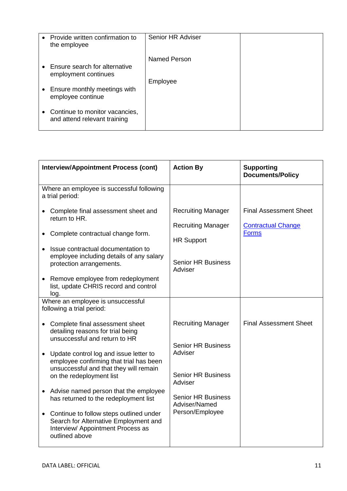| Provide written confirmation to<br>the employee                | Senior HR Adviser        |  |
|----------------------------------------------------------------|--------------------------|--|
| Ensure search for alternative<br>employment continues          | Named Person<br>Employee |  |
| Ensure monthly meetings with<br>employee continue              |                          |  |
| Continue to monitor vacancies,<br>and attend relevant training |                          |  |

| <b>Interview/Appointment Process (cont)</b>                                                                                                                                                                                                                                                   | <b>Action By</b>                                                                                                    | <b>Supporting</b><br><b>Documents/Policy</b>                               |
|-----------------------------------------------------------------------------------------------------------------------------------------------------------------------------------------------------------------------------------------------------------------------------------------------|---------------------------------------------------------------------------------------------------------------------|----------------------------------------------------------------------------|
| Where an employee is successful following<br>a trial period:                                                                                                                                                                                                                                  |                                                                                                                     |                                                                            |
| Complete final assessment sheet and<br>return to HR.<br>Complete contractual change form.<br>Issue contractual documentation to<br>employee including details of any salary<br>protection arrangements.<br>Remove employee from redeployment<br>list, update CHRIS record and control<br>log. | <b>Recruiting Manager</b><br><b>Recruiting Manager</b><br><b>HR Support</b><br><b>Senior HR Business</b><br>Adviser | <b>Final Assessment Sheet</b><br><b>Contractual Change</b><br><b>Forms</b> |
| Where an employee is unsuccessful<br>following a trial period:                                                                                                                                                                                                                                |                                                                                                                     |                                                                            |
| Complete final assessment sheet<br>detailing reasons for trial being<br>unsuccessful and return to HR<br>Update control log and issue letter to<br>employee confirming that trial has been<br>unsuccessful and that they will remain                                                          | <b>Recruiting Manager</b><br><b>Senior HR Business</b><br>Adviser<br><b>Senior HR Business</b>                      | <b>Final Assessment Sheet</b>                                              |
| on the redeployment list<br>Advise named person that the employee<br>has returned to the redeployment list                                                                                                                                                                                    | Adviser<br><b>Senior HR Business</b>                                                                                |                                                                            |
| Continue to follow steps outlined under<br>Search for Alternative Employment and<br>Interview/ Appointment Process as<br>outlined above                                                                                                                                                       | Adviser/Named<br>Person/Employee                                                                                    |                                                                            |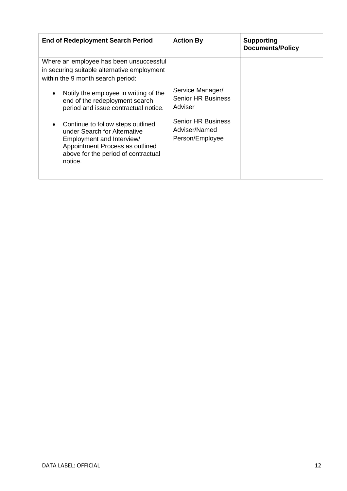| <b>End of Redeployment Search Period</b>                                                                                                                                            | <b>Action By</b>                                              | <b>Supporting</b><br><b>Documents/Policy</b> |
|-------------------------------------------------------------------------------------------------------------------------------------------------------------------------------------|---------------------------------------------------------------|----------------------------------------------|
| Where an employee has been unsuccessful<br>in securing suitable alternative employment<br>within the 9 month search period:                                                         |                                                               |                                              |
| Notify the employee in writing of the<br>end of the redeployment search<br>period and issue contractual notice.                                                                     | Service Manager/<br><b>Senior HR Business</b><br>Adviser      |                                              |
| Continue to follow steps outlined<br>under Search for Alternative<br>Employment and Interview/<br>Appointment Process as outlined<br>above for the period of contractual<br>notice. | <b>Senior HR Business</b><br>Adviser/Named<br>Person/Employee |                                              |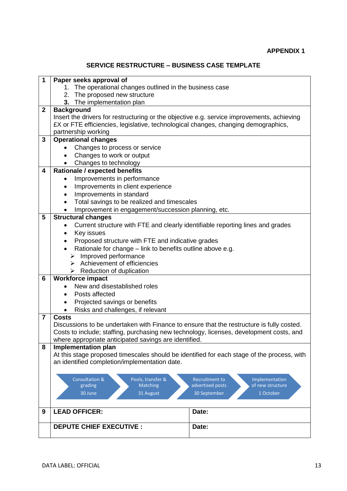# **SERVICE RESTRUCTURE – BUSINESS CASE TEMPLATE**

| 1              | Paper seeks approval of                                                                     |  |  |  |  |  |  |  |
|----------------|---------------------------------------------------------------------------------------------|--|--|--|--|--|--|--|
|                | 1. The operational changes outlined in the business case                                    |  |  |  |  |  |  |  |
|                | The proposed new structure<br>2.                                                            |  |  |  |  |  |  |  |
|                | 3.<br>The implementation plan                                                               |  |  |  |  |  |  |  |
| $\mathbf{2}$   | <b>Background</b>                                                                           |  |  |  |  |  |  |  |
|                | Insert the drivers for restructuring or the objective e.g. service improvements, achieving  |  |  |  |  |  |  |  |
|                | £X or FTE efficiencies, legislative, technological changes, changing demographics,          |  |  |  |  |  |  |  |
|                | partnership working                                                                         |  |  |  |  |  |  |  |
| 3              | <b>Operational changes</b>                                                                  |  |  |  |  |  |  |  |
|                | Changes to process or service                                                               |  |  |  |  |  |  |  |
|                | Changes to work or output<br>$\bullet$                                                      |  |  |  |  |  |  |  |
|                | Changes to technology<br>$\bullet$                                                          |  |  |  |  |  |  |  |
| 4              | <b>Rationale / expected benefits</b>                                                        |  |  |  |  |  |  |  |
|                | Improvements in performance                                                                 |  |  |  |  |  |  |  |
|                | Improvements in client experience<br>٠                                                      |  |  |  |  |  |  |  |
|                | Improvements in standard                                                                    |  |  |  |  |  |  |  |
|                | Total savings to be realized and timescales                                                 |  |  |  |  |  |  |  |
|                | Improvement in engagement/succession planning, etc.                                         |  |  |  |  |  |  |  |
| 5              | <b>Structural changes</b>                                                                   |  |  |  |  |  |  |  |
|                | Current structure with FTE and clearly identifiable reporting lines and grades<br>$\bullet$ |  |  |  |  |  |  |  |
|                | Key issues<br>٠                                                                             |  |  |  |  |  |  |  |
|                | Proposed structure with FTE and indicative grades                                           |  |  |  |  |  |  |  |
|                | Rationale for change - link to benefits outline above e.g.                                  |  |  |  |  |  |  |  |
|                | Improved performance<br>≻                                                                   |  |  |  |  |  |  |  |
|                | $\triangleright$ Achievement of efficiencies                                                |  |  |  |  |  |  |  |
|                | $\triangleright$ Reduction of duplication                                                   |  |  |  |  |  |  |  |
| 6              | <b>Workforce impact</b>                                                                     |  |  |  |  |  |  |  |
|                | New and disestablished roles                                                                |  |  |  |  |  |  |  |
|                | Posts affected<br>$\bullet$                                                                 |  |  |  |  |  |  |  |
|                | Projected savings or benefits                                                               |  |  |  |  |  |  |  |
|                | Risks and challenges, if relevant                                                           |  |  |  |  |  |  |  |
| $\overline{7}$ | <b>Costs</b>                                                                                |  |  |  |  |  |  |  |
|                | Discussions to be undertaken with Finance to ensure that the restructure is fully costed.   |  |  |  |  |  |  |  |
|                | Costs to include; staffing, purchasing new technology, licenses, development costs, and     |  |  |  |  |  |  |  |
|                | where appropriate anticipated savings are identified.                                       |  |  |  |  |  |  |  |
| 8              | <b>Implementation plan</b>                                                                  |  |  |  |  |  |  |  |
|                | At this stage proposed timescales should be identified for each stage of the process, with  |  |  |  |  |  |  |  |
|                | an identified completion/implementation date.                                               |  |  |  |  |  |  |  |
|                |                                                                                             |  |  |  |  |  |  |  |
|                | <b>Consultation &amp;</b><br>Pools, transfer &<br>Recruitment to<br>Implementation          |  |  |  |  |  |  |  |
|                | Matching<br>advertised posts<br>of new structure<br>grading                                 |  |  |  |  |  |  |  |
|                | 31 August<br>30 September<br>1 October<br>30 June                                           |  |  |  |  |  |  |  |
|                |                                                                                             |  |  |  |  |  |  |  |
|                |                                                                                             |  |  |  |  |  |  |  |
| 9              | <b>LEAD OFFICER:</b><br>Date:                                                               |  |  |  |  |  |  |  |
|                | <b>DEPUTE CHIEF EXECUTIVE :</b><br>Date:                                                    |  |  |  |  |  |  |  |
|                |                                                                                             |  |  |  |  |  |  |  |
|                |                                                                                             |  |  |  |  |  |  |  |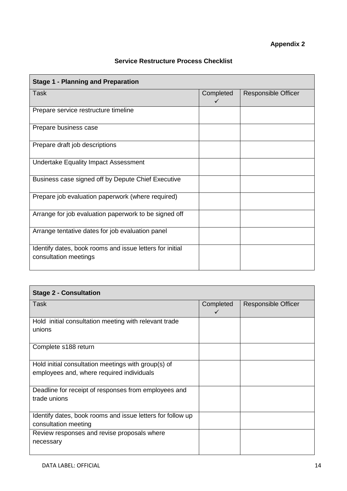### **Service Restructure Process Checklist**

| <b>Stage 1 - Planning and Preparation</b>                                         |                           |                            |
|-----------------------------------------------------------------------------------|---------------------------|----------------------------|
| <b>Task</b>                                                                       | Completed<br>$\checkmark$ | <b>Responsible Officer</b> |
| Prepare service restructure timeline                                              |                           |                            |
| Prepare business case                                                             |                           |                            |
| Prepare draft job descriptions                                                    |                           |                            |
| <b>Undertake Equality Impact Assessment</b>                                       |                           |                            |
| Business case signed off by Depute Chief Executive                                |                           |                            |
| Prepare job evaluation paperwork (where required)                                 |                           |                            |
| Arrange for job evaluation paperwork to be signed off                             |                           |                            |
| Arrange tentative dates for job evaluation panel                                  |                           |                            |
| Identify dates, book rooms and issue letters for initial<br>consultation meetings |                           |                            |

| <b>Stage 2 - Consultation</b>                                   |           |                            |  |  |  |  |  |
|-----------------------------------------------------------------|-----------|----------------------------|--|--|--|--|--|
| Task                                                            | Completed | <b>Responsible Officer</b> |  |  |  |  |  |
| Hold initial consultation meeting with relevant trade<br>unions |           |                            |  |  |  |  |  |
| Complete s188 return                                            |           |                            |  |  |  |  |  |
| Hold initial consultation meetings with group(s) of             |           |                            |  |  |  |  |  |
| employees and, where required individuals                       |           |                            |  |  |  |  |  |
| Deadline for receipt of responses from employees and            |           |                            |  |  |  |  |  |
| trade unions                                                    |           |                            |  |  |  |  |  |
| Identify dates, book rooms and issue letters for follow up      |           |                            |  |  |  |  |  |
| consultation meeting                                            |           |                            |  |  |  |  |  |
| Review responses and revise proposals where                     |           |                            |  |  |  |  |  |
| necessary                                                       |           |                            |  |  |  |  |  |
|                                                                 |           |                            |  |  |  |  |  |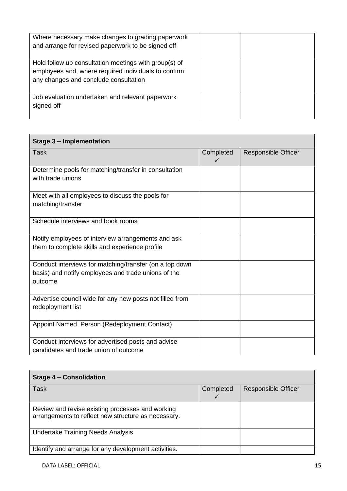| Where necessary make changes to grading paperwork<br>and arrange for revised paperwork to be signed off                                                |  |
|--------------------------------------------------------------------------------------------------------------------------------------------------------|--|
| Hold follow up consultation meetings with group(s) of<br>employees and, where required individuals to confirm<br>any changes and conclude consultation |  |
| Job evaluation undertaken and relevant paperwork<br>signed off                                                                                         |  |

| Stage 3 - Implementation                                                                                                  |           |                            |  |  |  |  |  |
|---------------------------------------------------------------------------------------------------------------------------|-----------|----------------------------|--|--|--|--|--|
| Task                                                                                                                      | Completed | <b>Responsible Officer</b> |  |  |  |  |  |
| Determine pools for matching/transfer in consultation<br>with trade unions                                                |           |                            |  |  |  |  |  |
| Meet with all employees to discuss the pools for<br>matching/transfer                                                     |           |                            |  |  |  |  |  |
| Schedule interviews and book rooms                                                                                        |           |                            |  |  |  |  |  |
| Notify employees of interview arrangements and ask<br>them to complete skills and experience profile                      |           |                            |  |  |  |  |  |
| Conduct interviews for matching/transfer (on a top down<br>basis) and notify employees and trade unions of the<br>outcome |           |                            |  |  |  |  |  |
| Advertise council wide for any new posts not filled from<br>redeployment list                                             |           |                            |  |  |  |  |  |
| Appoint Named Person (Redeployment Contact)                                                                               |           |                            |  |  |  |  |  |
| Conduct interviews for advertised posts and advise<br>candidates and trade union of outcome                               |           |                            |  |  |  |  |  |

| <b>Stage 4 - Consolidation</b>                                                                          |           |                            |  |  |  |  |  |  |
|---------------------------------------------------------------------------------------------------------|-----------|----------------------------|--|--|--|--|--|--|
| Task                                                                                                    | Completed | <b>Responsible Officer</b> |  |  |  |  |  |  |
|                                                                                                         |           |                            |  |  |  |  |  |  |
| Review and revise existing processes and working<br>arrangements to reflect new structure as necessary. |           |                            |  |  |  |  |  |  |
| <b>Undertake Training Needs Analysis</b>                                                                |           |                            |  |  |  |  |  |  |
| Identify and arrange for any development activities.                                                    |           |                            |  |  |  |  |  |  |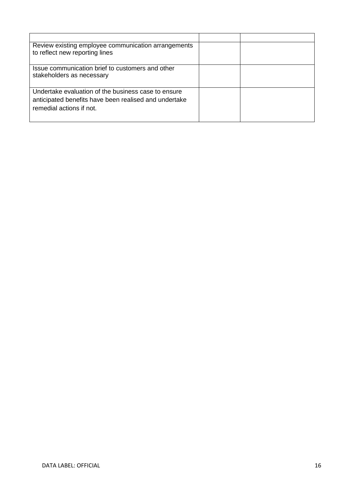| Review existing employee communication arrangements<br>to reflect new reporting lines                                                    |  |
|------------------------------------------------------------------------------------------------------------------------------------------|--|
| Issue communication brief to customers and other<br>stakeholders as necessary                                                            |  |
| Undertake evaluation of the business case to ensure<br>anticipated benefits have been realised and undertake<br>remedial actions if not. |  |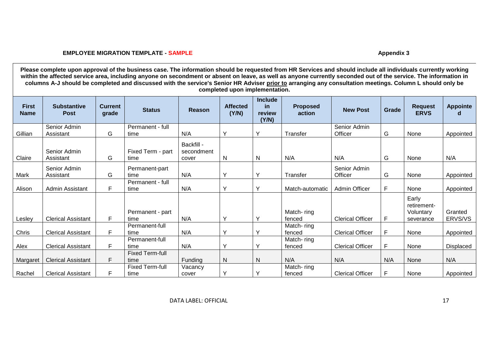### **EMPLOYEE MIGRATION TEMPLATE - SAMPLE Appendix 3**

**Please complete upon approval of the business case. The information should be requested from HR Services and should include all individuals currently working within the affected service area, including anyone on secondment or absent on leave, as well as anyone currently seconded out of the service. The information in columns A-J should be completed and discussed with the service's Senior HR Adviser prior to arranging any consultation meetings. Column L should only be completed upon implementation.**

| <b>First</b><br><b>Name</b> | <b>Substantive</b><br><b>Post</b> | <b>Current</b><br>grade | <b>Status</b>                  | <b>Reason</b>                     | <b>Affected</b><br>(Y/N) | <b>Include</b><br><b>in</b><br>review<br>(Y/N) | <b>Proposed</b><br>action | <b>New Post</b>         | Grade | <b>Request</b><br><b>ERVS</b>                  | <b>Appointe</b>    |
|-----------------------------|-----------------------------------|-------------------------|--------------------------------|-----------------------------------|--------------------------|------------------------------------------------|---------------------------|-------------------------|-------|------------------------------------------------|--------------------|
| Gillian                     | Senior Admin<br>Assistant         | G                       | Permanent - full<br>time       | N/A                               | $\checkmark$             | Y                                              | Transfer                  | Senior Admin<br>Officer | G     | None                                           | Appointed          |
| Claire                      | Senior Admin<br>Assistant         | G                       | Fixed Term - part<br>time      | Backfill -<br>secondment<br>cover | <sub>N</sub>             | N                                              | N/A                       | N/A                     | G     | None                                           | N/A                |
| Mark                        | Senior Admin<br>Assistant         | G                       | Permanent-part<br>time         | N/A                               | $\check{ }$              | Y                                              | Transfer                  | Senior Admin<br>Officer | G     | None                                           | Appointed          |
| Alison                      | Admin Assistant                   | F                       | Permanent - full<br>time       | N/A                               | $\check{ }$              | $\checkmark$                                   | Match-automatic           | Admin Officer           | F     | None                                           | Appointed          |
| Lesley                      | <b>Clerical Assistant</b>         | F.                      | Permanent - part<br>time       | N/A                               | ν                        | $\vee$                                         | Match-ring<br>fenced      | <b>Clerical Officer</b> | F     | Early<br>retirement-<br>Voluntary<br>severance | Granted<br>ERVS/VS |
| Chris                       | <b>Clerical Assistant</b>         | F                       | Permanent-full<br>time         | N/A                               | $\checkmark$             | $\checkmark$                                   | Match-ring<br>fenced      | <b>Clerical Officer</b> | F     | None                                           | Appointed          |
| Alex                        | <b>Clerical Assistant</b>         | F.                      | Permanent-full<br>time         | N/A                               | $\sqrt{}$                | $\checkmark$                                   | Match-ring<br>fenced      | <b>Clerical Officer</b> | F     | None                                           | <b>Displaced</b>   |
| Margaret                    | <b>Clerical Assistant</b>         | F.                      | <b>Fixed Term-full</b><br>time | Funding                           | N                        | N                                              | N/A                       | N/A                     | N/A   | None                                           | N/A                |
| Rachel                      | <b>Clerical Assistant</b>         | F                       | <b>Fixed Term-full</b><br>time | Vacancy<br>cover                  | ν                        | $\checkmark$                                   | Match-ring<br>fenced      | <b>Clerical Officer</b> | F     | None                                           | Appointed          |

DATA LABEL: OFFICIAL 17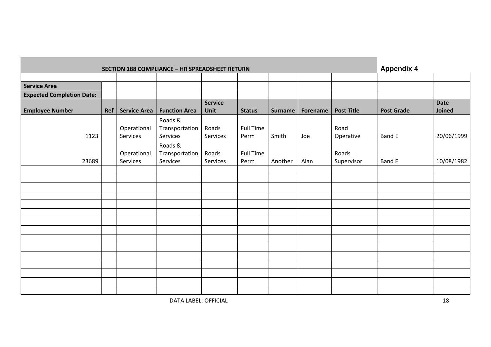| <b>SECTION 188 COMPLIANCE - HR SPREADSHEET RETURN</b> |     |                     |                      |                               |                  |                |          |                   |                   | <b>Appendix 4</b>     |  |
|-------------------------------------------------------|-----|---------------------|----------------------|-------------------------------|------------------|----------------|----------|-------------------|-------------------|-----------------------|--|
|                                                       |     |                     |                      |                               |                  |                |          |                   |                   |                       |  |
| <b>Service Area</b>                                   |     |                     |                      |                               |                  |                |          |                   |                   |                       |  |
| <b>Expected Completion Date:</b>                      |     |                     |                      |                               |                  |                |          |                   |                   |                       |  |
| <b>Employee Number</b>                                | Ref | <b>Service Area</b> | <b>Function Area</b> | <b>Service</b><br><b>Unit</b> | <b>Status</b>    | <b>Surname</b> | Forename | <b>Post Title</b> | <b>Post Grade</b> | <b>Date</b><br>Joined |  |
|                                                       |     |                     | Roads &              |                               |                  |                |          |                   |                   |                       |  |
|                                                       |     | Operational         | Transportation       | Roads                         | <b>Full Time</b> |                |          | Road              |                   |                       |  |
| 1123                                                  |     | Services            | Services             | Services                      | Perm             | Smith          | Joe      | Operative         | Band E            | 20/06/1999            |  |
|                                                       |     |                     | Roads &              |                               |                  |                |          |                   |                   |                       |  |
|                                                       |     | Operational         | Transportation       | Roads                         | <b>Full Time</b> |                |          | Roads             |                   |                       |  |
| 23689                                                 |     | Services            | Services             | Services                      | Perm             | Another        | Alan     | Supervisor        | Band F            | 10/08/1982            |  |
|                                                       |     |                     |                      |                               |                  |                |          |                   |                   |                       |  |
|                                                       |     |                     |                      |                               |                  |                |          |                   |                   |                       |  |
|                                                       |     |                     |                      |                               |                  |                |          |                   |                   |                       |  |
|                                                       |     |                     |                      |                               |                  |                |          |                   |                   |                       |  |
|                                                       |     |                     |                      |                               |                  |                |          |                   |                   |                       |  |
|                                                       |     |                     |                      |                               |                  |                |          |                   |                   |                       |  |
|                                                       |     |                     |                      |                               |                  |                |          |                   |                   |                       |  |
|                                                       |     |                     |                      |                               |                  |                |          |                   |                   |                       |  |
|                                                       |     |                     |                      |                               |                  |                |          |                   |                   |                       |  |
|                                                       |     |                     |                      |                               |                  |                |          |                   |                   |                       |  |
|                                                       |     |                     |                      |                               |                  |                |          |                   |                   |                       |  |
|                                                       |     |                     |                      |                               |                  |                |          |                   |                   |                       |  |
|                                                       |     |                     |                      |                               |                  |                |          |                   |                   |                       |  |
|                                                       |     |                     |                      |                               |                  |                |          |                   |                   |                       |  |
|                                                       |     |                     |                      |                               |                  |                |          |                   |                   |                       |  |
|                                                       |     |                     |                      |                               |                  |                |          |                   |                   |                       |  |

DATA LABEL: OFFICIAL 18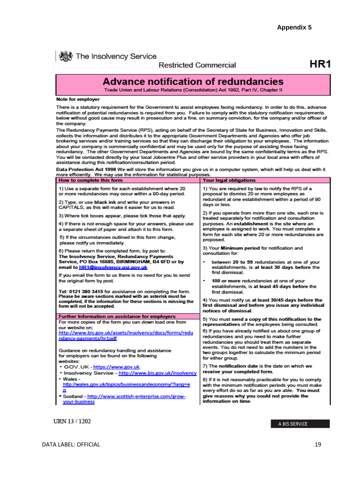

**機** The Insolvency Service

### **Restricted Commercial**

# HR<sub>1</sub>

# **Advance notification of redundancies**

Trade Union and Labour Relations (Consolidation) Act 1992, Part IV, Chapter II

### **Note for employer**

There is a statutory requirement for the Government to assist employees facing redundancy. In order to do this, advance notification of potential redundancies is required from you. Failure to comply with the statutory notification requirements below without good cause may result in prosecution and a fine, on summary conviction, for the company and/or officer of the company.

The Redundancy Payments Service (RPS), acting on behalf of the Secretary of State for Business, Innovation and Skills, collects the information and distributes it to the appropriate Government Departments and Agencies who offer job brokering services and/or training services so that they can discharge their obligation to your employees. The information about your company is commercially confidential and may be used only for the purpose of assisting those facing redundancy. The other Government Departments and Agencies are bound by the same confidentiality terms as the RPS. You will be contacted directly by your local Jobcentre Plus and other service providers in your local area with offers of assistance during this notification/consultation period.

Data Protection Act 1998 We will store the information you give us in a computer system, which will help us deal with it more efficiently. We may use the information for statistical purposes.

| How to complete this form                                                                                             | <b>Your legal obligations</b>                                                                                                                            |
|-----------------------------------------------------------------------------------------------------------------------|----------------------------------------------------------------------------------------------------------------------------------------------------------|
| 1) Use a separate form for each establishment where 20<br>or more redundancies may occur within a 90-day period.      | 1) You are required by law to notify the RPS of a<br>proposal to dismiss 20 or more employees as<br>redundant at one establishment within a period of 90 |
| 2) Type, or use black ink and write your answers in<br>CAPITALS, as this will make it easier for us to read.          | days or less.                                                                                                                                            |
| 3) Where tick boxes appear, please tick those that apply.                                                             | 2) If you operate from more than one site, each one is<br>treated separately for notification and consultation                                           |
| 4) If there is not enough space for your answers, please use<br>a separate sheet of paper and attach it to this form. | purposes. An establishment is the site where an<br>employee is assigned to work. You must complete a                                                     |
| 5) If the circumstances outlined in this form change,<br>please notify us immediately.                                | form for each site where 20 or more redundancies are<br>proposed.                                                                                        |
| 6) Please return the completed form, by post to:<br>The Insolvency Service, Redundancy Payments                       | 3) Your Minimum period for notification and<br>consultation for:                                                                                         |
| Service, PO Box 16685, BIRMINGHAM, B4 6FD or by                                                                       | between 20 to 99 redundancies at one of your                                                                                                             |
| email to HR1@insolvency.gsi.gov.uk                                                                                    | establishments, is at least 30 days before the<br>first dismissal                                                                                        |
| If you email the form to us there is no need for you to send                                                          |                                                                                                                                                          |
| the original form by post.                                                                                            | 100 or more redundancies at one of your<br>establishments, is at least 45 days before the                                                                |
| Tel: 0121 380 3415 for assistance on completing the form.<br>Please be aware sections marked with an asterisk must be | first dismissal.                                                                                                                                         |
| completed, if the information for these sections is missing the                                                       | 4) You must notify us at least 30/45 days before the                                                                                                     |
| form will not be accepted.                                                                                            | first dismissal and before you issue any individual<br>notices of dismissal                                                                              |
| <b>Further Information on assistance for employers</b>                                                                |                                                                                                                                                          |
| For more copies of the form you can down load one from                                                                | 5) You must send a copy of this notification to the<br>representatives of the employees being consulted.                                                 |
| our website on:                                                                                                       | 6) If you have already notified us about one group of                                                                                                    |
| http://www.bis.gov.uk/assets/insolvency/docs/forms/redu<br>ndancy-payments/hr1pdf                                     | redundancies and you need to make further                                                                                                                |
|                                                                                                                       | redundancies you should treat them as separate                                                                                                           |
| Guidance on redundancy handling and assistance                                                                        | events. You do not need to add the numbers in the                                                                                                        |
| for employers can be found on the following                                                                           | two groups together to calculate the minimum period                                                                                                      |
| websites:                                                                                                             | for either group.                                                                                                                                        |
| - GOV.UK - https://www.gov.uk                                                                                         | 7) The notification date is the date on which we                                                                                                         |
| - Insolvency Service - http://www.bis.gov.uk/insolvency                                                               | receive your completed form.                                                                                                                             |
| - Wales -                                                                                                             | 8) If it is not reasonably practicable for you to comply                                                                                                 |
|                                                                                                                       |                                                                                                                                                          |
| http://wales.gov.uk/topics/businessandeconomy/?lang=e<br>n                                                            | with the minimum notification periods you must make                                                                                                      |
| • Scotland - http://www.scottish-enterprise.com/grow-                                                                 | every effort do so as far as you are able. You must<br>give reasons why you could not provide the                                                        |
| your-business                                                                                                         | information on time.                                                                                                                                     |

**URN 13/1202** 

A BIS SERVICE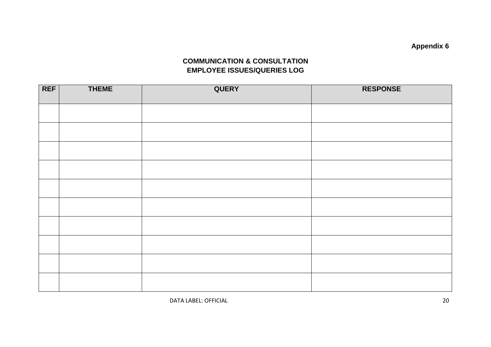**Appendix 6**

# **COMMUNICATION & CONSULTATION EMPLOYEE ISSUES/QUERIES LOG**

| <b>REF</b> | <b>THEME</b> | QUERY | <b>RESPONSE</b> |
|------------|--------------|-------|-----------------|
|            |              |       |                 |
|            |              |       |                 |
|            |              |       |                 |
|            |              |       |                 |
|            |              |       |                 |
|            |              |       |                 |
|            |              |       |                 |
|            |              |       |                 |
|            |              |       |                 |
|            |              |       |                 |

DATA LABEL: OFFICIAL 20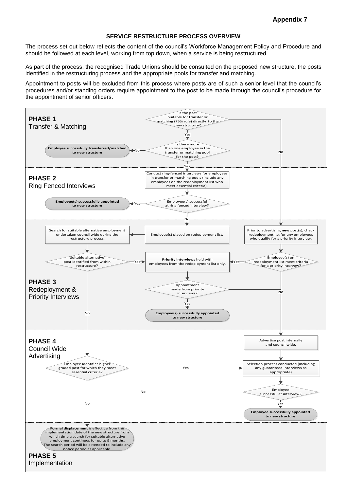### **SERVICE RESTRUCTURE PROCESS OVERVIEW**

The process set out below reflects the content of the council's Workforce Management Policy and Procedure and should be followed at each level, working from top down, when a service is being restructured.

As part of the process, the recognised Trade Unions should be consulted on the proposed new structure, the posts identified in the restructuring process and the appropriate pools for transfer and matching.

Appointment to posts will be excluded from this process where posts are of such a senior level that the council's procedures and/or standing orders require appointment to the post to be made through the council's procedure for the appointment of senior officers.